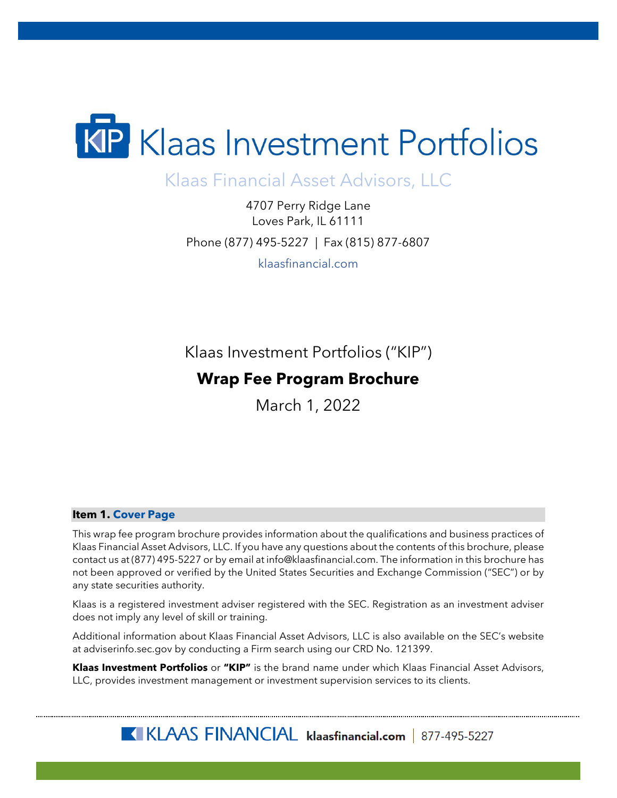

# Klaas Financial Asset Advisors, LLC

4707 Perry Ridge Lane Loves Park, IL 61111 Phone (877) 495-5227 | Fax (815) 877-6807 klaasfinancial.com

Klaas Investment Portfolios ("KIP")

# **Wrap Fee Program Brochure**

March 1, 2022

#### <span id="page-0-0"></span>**Item 1. Cover Page**

This wrap fee program brochure provides information about the qualifications and business practices of Klaas Financial Asset Advisors, LLC. If you have any questions about the contents of this brochure, please contact us at (877) 495-5227 or by email at info@klaasfinancial.com. The information in this brochure has not been approved or verified by the United States Securities and Exchange Commission ("SEC") or by any state securities authority.

Klaas is a registered investment adviser registered with the SEC. Registration as an investment adviser does not imply any level of skill or training.

Additional information about Klaas Financial Asset Advisors, LLC is also available on the SEC's website at adviserinfo.sec.gov by conducting a Firm search using our CRD No. 121399.

**Klaas Investment Portfolios** or **"KIP"** is the brand name under which Klaas Financial Asset Advisors, LLC, provides investment management or investment supervision services to its clients.

KIKLAAS FINANCIAL klaasfinancial.com | 877-495-5227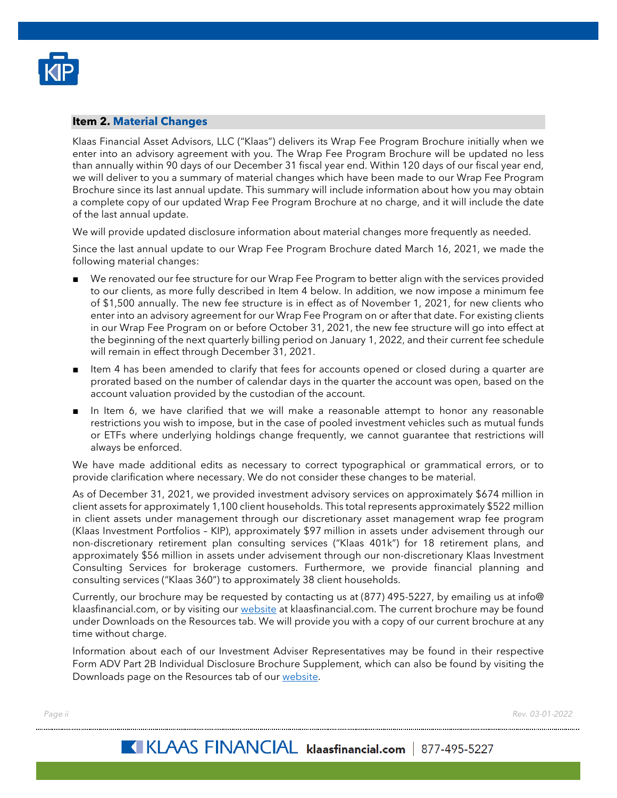

#### <span id="page-1-0"></span>**Item 2. Material Changes**

Klaas Financial Asset Advisors, LLC ("Klaas") delivers its Wrap Fee Program Brochure initially when we enter into an advisory agreement with you. The Wrap Fee Program Brochure will be updated no less than annually within 90 days of our December 31 fiscal year end. Within 120 days of our fiscal year end, we will deliver to you a summary of material changes which have been made to our Wrap Fee Program Brochure since its last annual update. This summary will include information about how you may obtain a complete copy of our updated Wrap Fee Program Brochure at no charge, and it will include the date of the last annual update.

We will provide updated disclosure information about material changes more frequently as needed.

Since the last annual update to our Wrap Fee Program Brochure dated March 16, 2021, we made the following material changes:

- We renovated our fee structure for our Wrap Fee Program to better align with the services provided to our clients, as more fully described in Item 4 below. In addition, we now impose a minimum fee of \$1,500 annually. The new fee structure is in effect as of November 1, 2021, for new clients who enter into an advisory agreement for our Wrap Fee Program on or after that date. For existing clients in our Wrap Fee Program on or before October 31, 2021, the new fee structure will go into effect at the beginning of the next quarterly billing period on January 1, 2022, and their current fee schedule will remain in effect through December 31, 2021.
- Item 4 has been amended to clarify that fees for accounts opened or closed during a quarter are prorated based on the number of calendar days in the quarter the account was open, based on the account valuation provided by the custodian of the account.
- In Item 6, we have clarified that we will make a reasonable attempt to honor any reasonable restrictions you wish to impose, but in the case of pooled investment vehicles such as mutual funds or ETFs where underlying holdings change frequently, we cannot guarantee that restrictions will always be enforced.

We have made additional edits as necessary to correct typographical or grammatical errors, or to provide clarification where necessary. We do not consider these changes to be material.

As of December 31, 2021, we provided investment advisory services on approximately \$674 million in client assets for approximately 1,100 client households. This total represents approximately \$522 million in client assets under management through our discretionary asset management wrap fee program (Klaas Investment Portfolios – KIP), approximately \$97 million in assets under advisement through our non-discretionary retirement plan consulting services ("Klaas 401k") for 18 retirement plans, and approximately \$56 million in assets under advisement through our non-discretionary Klaas Investment Consulting Services for brokerage customers. Furthermore, we provide financial planning and consulting services ("Klaas 360") to approximately 38 client households.

Currently, our brochure may be requested by contacting us at (877) 495-5227, by emailing us at info@ klaasfinancial.com, or by visiting our [website](https://klaasfinancial.com/multimedia/downloads/) at klaasfinancial.com. The current brochure may be found under Downloads on the Resources tab. We will provide you with a copy of our current brochure at any time without charge.

Information about each of our Investment Adviser Representatives may be found in their respective Form ADV Part 2B Individual Disclosure Brochure Supplement, which can also be found by visiting the Downloads page on the Resources tab of our [website.](https://klaasfinancial.com/multimedia/downloads/)

*Page ii Rev. 03-01-2022*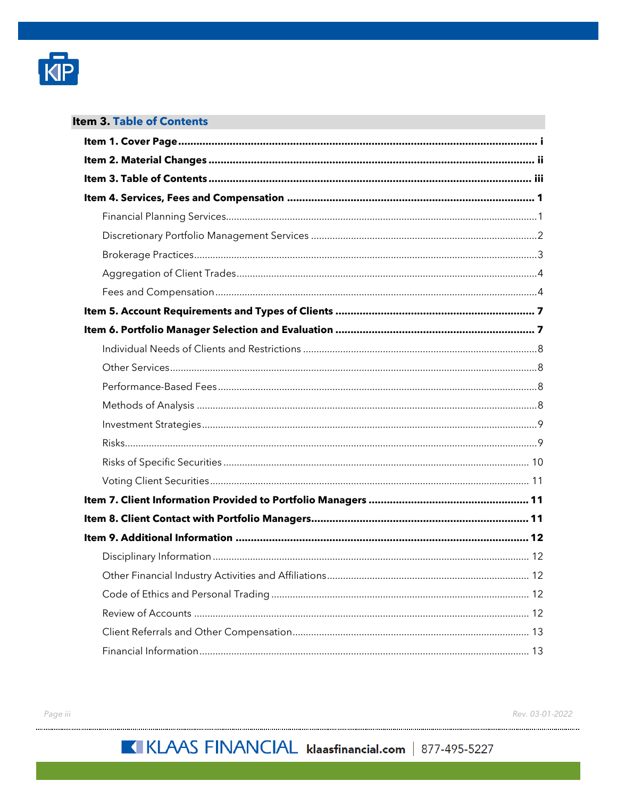

<span id="page-2-0"></span>

| <b>Item 3. Table of Contents</b> |  |
|----------------------------------|--|
|                                  |  |
|                                  |  |
|                                  |  |
|                                  |  |
|                                  |  |
|                                  |  |
|                                  |  |
|                                  |  |
|                                  |  |
|                                  |  |
|                                  |  |
|                                  |  |
|                                  |  |
|                                  |  |
|                                  |  |
|                                  |  |
|                                  |  |
|                                  |  |
|                                  |  |
|                                  |  |
|                                  |  |
|                                  |  |
|                                  |  |
|                                  |  |
|                                  |  |
|                                  |  |
|                                  |  |
|                                  |  |
|                                  |  |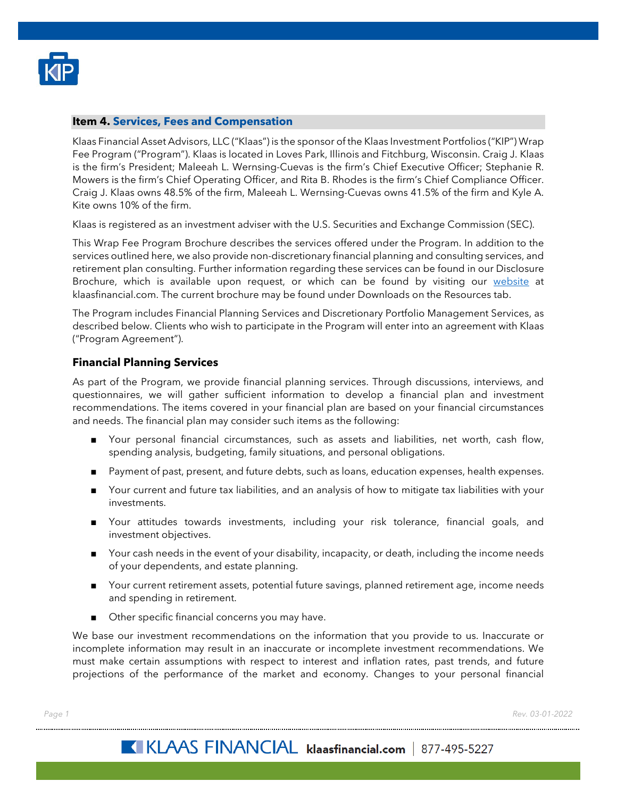

#### <span id="page-3-0"></span>**Item 4. Services, Fees and Compensation**

Klaas Financial Asset Advisors, LLC ("Klaas") is the sponsor of the Klaas Investment Portfolios ("KIP") Wrap Fee Program ("Program"). Klaas is located in Loves Park, Illinois and Fitchburg, Wisconsin. Craig J. Klaas is the firm's President; Maleeah L. Wernsing-Cuevas is the firm's Chief Executive Officer; Stephanie R. Mowers is the firm's Chief Operating Officer, and Rita B. Rhodes is the firm's Chief Compliance Officer. Craig J. Klaas owns 48.5% of the firm, Maleeah L. Wernsing-Cuevas owns 41.5% of the firm and Kyle A. Kite owns 10% of the firm.

Klaas is registered as an investment adviser with the U.S. Securities and Exchange Commission (SEC).

This Wrap Fee Program Brochure describes the services offered under the Program. In addition to the services outlined here, we also provide non-discretionary financial planning and consulting services, and retirement plan consulting. Further information regarding these services can be found in our Disclosure Brochure, which is available upon request, or which can be found by visiting our [website](https://klaasfinancial.com/multimedia/downloads/) at klaasfinancial.com. The current brochure may be found under Downloads on the Resources tab.

The Program includes Financial Planning Services and Discretionary Portfolio Management Services, as described below. Clients who wish to participate in the Program will enter into an agreement with Klaas ("Program Agreement").

## <span id="page-3-1"></span>**Financial Planning Services**

As part of the Program, we provide financial planning services. Through discussions, interviews, and questionnaires, we will gather sufficient information to develop a financial plan and investment recommendations. The items covered in your financial plan are based on your financial circumstances and needs. The financial plan may consider such items as the following:

- Your personal financial circumstances, such as assets and liabilities, net worth, cash flow, spending analysis, budgeting, family situations, and personal obligations.
- Payment of past, present, and future debts, such as loans, education expenses, health expenses.
- Your current and future tax liabilities, and an analysis of how to mitigate tax liabilities with your investments.
- Your attitudes towards investments, including your risk tolerance, financial goals, and investment objectives.
- Your cash needs in the event of your disability, incapacity, or death, including the income needs of your dependents, and estate planning.
- Your current retirement assets, potential future savings, planned retirement age, income needs and spending in retirement.
- Other specific financial concerns you may have.

We base our investment recommendations on the information that you provide to us. Inaccurate or incomplete information may result in an inaccurate or incomplete investment recommendations. We must make certain assumptions with respect to interest and inflation rates, past trends, and future projections of the performance of the market and economy. Changes to your personal financial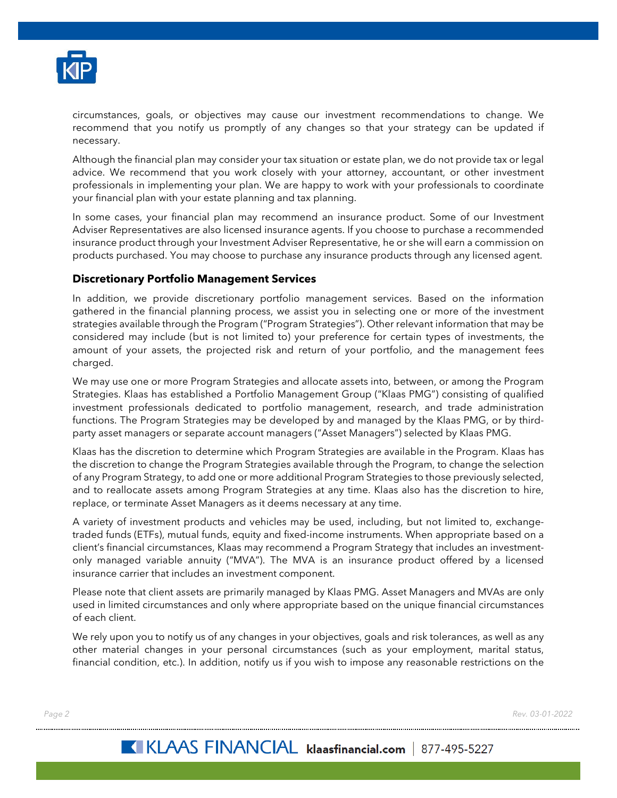

circumstances, goals, or objectives may cause our investment recommendations to change. We recommend that you notify us promptly of any changes so that your strategy can be updated if necessary.

Although the financial plan may consider your tax situation or estate plan, we do not provide tax or legal advice. We recommend that you work closely with your attorney, accountant, or other investment professionals in implementing your plan. We are happy to work with your professionals to coordinate your financial plan with your estate planning and tax planning.

In some cases, your financial plan may recommend an insurance product. Some of our Investment Adviser Representatives are also licensed insurance agents. If you choose to purchase a recommended insurance product through your Investment Adviser Representative, he or she will earn a commission on products purchased. You may choose to purchase any insurance products through any licensed agent.

## <span id="page-4-0"></span>**Discretionary Portfolio Management Services**

In addition, we provide discretionary portfolio management services. Based on the information gathered in the financial planning process, we assist you in selecting one or more of the investment strategies available through the Program ("Program Strategies"). Other relevant information that may be considered may include (but is not limited to) your preference for certain types of investments, the amount of your assets, the projected risk and return of your portfolio, and the management fees charged.

We may use one or more Program Strategies and allocate assets into, between, or among the Program Strategies. Klaas has established a Portfolio Management Group ("Klaas PMG") consisting of qualified investment professionals dedicated to portfolio management, research, and trade administration functions. The Program Strategies may be developed by and managed by the Klaas PMG, or by thirdparty asset managers or separate account managers ("Asset Managers") selected by Klaas PMG.

Klaas has the discretion to determine which Program Strategies are available in the Program. Klaas has the discretion to change the Program Strategies available through the Program, to change the selection of any Program Strategy, to add one or more additional Program Strategies to those previously selected, and to reallocate assets among Program Strategies at any time. Klaas also has the discretion to hire, replace, or terminate Asset Managers as it deems necessary at any time.

A variety of investment products and vehicles may be used, including, but not limited to, exchangetraded funds (ETFs), mutual funds, equity and fixed-income instruments. When appropriate based on a client's financial circumstances, Klaas may recommend a Program Strategy that includes an investmentonly managed variable annuity ("MVA"). The MVA is an insurance product offered by a licensed insurance carrier that includes an investment component.

Please note that client assets are primarily managed by Klaas PMG. Asset Managers and MVAs are only used in limited circumstances and only where appropriate based on the unique financial circumstances of each client.

We rely upon you to notify us of any changes in your objectives, goals and risk tolerances, as well as any other material changes in your personal circumstances (such as your employment, marital status, financial condition, etc.). In addition, notify us if you wish to impose any reasonable restrictions on the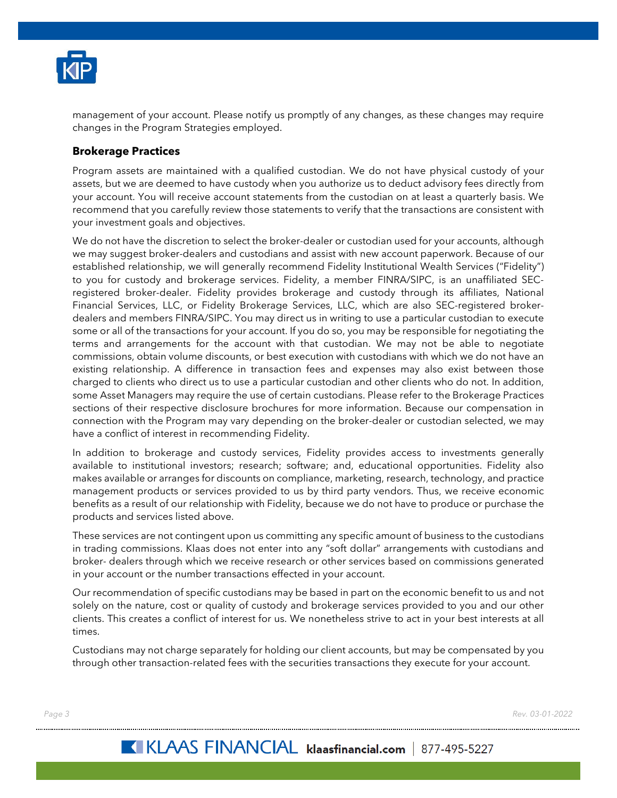

management of your account. Please notify us promptly of any changes, as these changes may require changes in the Program Strategies employed.

## <span id="page-5-0"></span>**Brokerage Practices**

Program assets are maintained with a qualified custodian. We do not have physical custody of your assets, but we are deemed to have custody when you authorize us to deduct advisory fees directly from your account. You will receive account statements from the custodian on at least a quarterly basis. We recommend that you carefully review those statements to verify that the transactions are consistent with your investment goals and objectives.

We do not have the discretion to select the broker-dealer or custodian used for your accounts, although we may suggest broker-dealers and custodians and assist with new account paperwork. Because of our established relationship, we will generally recommend Fidelity Institutional Wealth Services ("Fidelity") to you for custody and brokerage services. Fidelity, a member FINRA/SIPC, is an unaffiliated SECregistered broker-dealer. Fidelity provides brokerage and custody through its affiliates, National Financial Services, LLC, or Fidelity Brokerage Services, LLC, which are also SEC-registered brokerdealers and members FINRA/SIPC. You may direct us in writing to use a particular custodian to execute some or all of the transactions for your account. If you do so, you may be responsible for negotiating the terms and arrangements for the account with that custodian. We may not be able to negotiate commissions, obtain volume discounts, or best execution with custodians with which we do not have an existing relationship. A difference in transaction fees and expenses may also exist between those charged to clients who direct us to use a particular custodian and other clients who do not. In addition, some Asset Managers may require the use of certain custodians. Please refer to the Brokerage Practices sections of their respective disclosure brochures for more information. Because our compensation in connection with the Program may vary depending on the broker-dealer or custodian selected, we may have a conflict of interest in recommending Fidelity.

In addition to brokerage and custody services, Fidelity provides access to investments generally available to institutional investors; research; software; and, educational opportunities. Fidelity also makes available or arranges for discounts on compliance, marketing, research, technology, and practice management products or services provided to us by third party vendors. Thus, we receive economic benefits as a result of our relationship with Fidelity, because we do not have to produce or purchase the products and services listed above.

These services are not contingent upon us committing any specific amount of business to the custodians in trading commissions. Klaas does not enter into any "soft dollar" arrangements with custodians and broker- dealers through which we receive research or other services based on commissions generated in your account or the number transactions effected in your account.

Our recommendation of specific custodians may be based in part on the economic benefit to us and not solely on the nature, cost or quality of custody and brokerage services provided to you and our other clients. This creates a conflict of interest for us. We nonetheless strive to act in your best interests at all times.

Custodians may not charge separately for holding our client accounts, but may be compensated by you through other transaction-related fees with the securities transactions they execute for your account.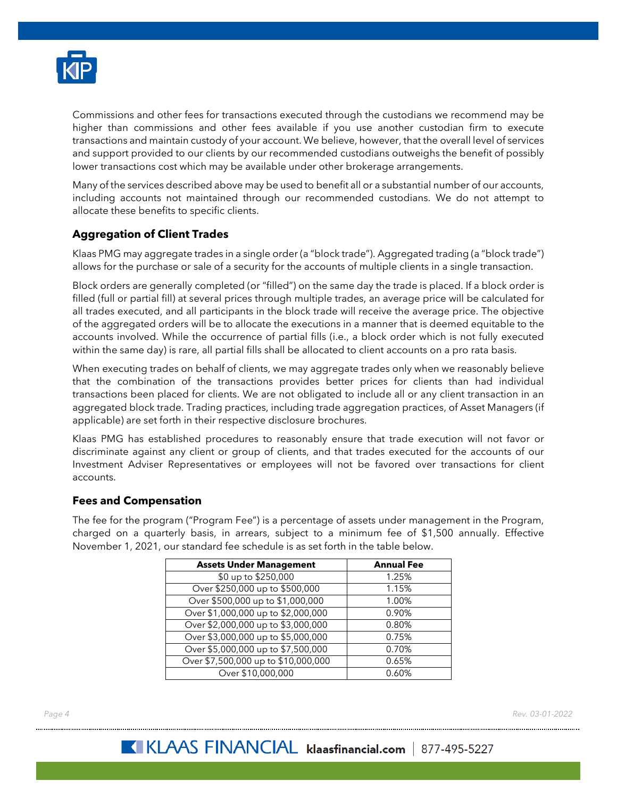

Commissions and other fees for transactions executed through the custodians we recommend may be higher than commissions and other fees available if you use another custodian firm to execute transactions and maintain custody of your account. We believe, however, that the overall level of services and support provided to our clients by our recommended custodians outweighs the benefit of possibly lower transactions cost which may be available under other brokerage arrangements.

Many of the services described above may be used to benefit all or a substantial number of our accounts, including accounts not maintained through our recommended custodians. We do not attempt to allocate these benefits to specific clients.

# <span id="page-6-0"></span>**Aggregation of Client Trades**

Klaas PMG may aggregate trades in a single order (a "block trade"). Aggregated trading (a "block trade") allows for the purchase or sale of a security for the accounts of multiple clients in a single transaction.

Block orders are generally completed (or "filled") on the same day the trade is placed. If a block order is filled (full or partial fill) at several prices through multiple trades, an average price will be calculated for all trades executed, and all participants in the block trade will receive the average price. The objective of the aggregated orders will be to allocate the executions in a manner that is deemed equitable to the accounts involved. While the occurrence of partial fills (i.e., a block order which is not fully executed within the same day) is rare, all partial fills shall be allocated to client accounts on a pro rata basis.

When executing trades on behalf of clients, we may aggregate trades only when we reasonably believe that the combination of the transactions provides better prices for clients than had individual transactions been placed for clients. We are not obligated to include all or any client transaction in an aggregated block trade. Trading practices, including trade aggregation practices, of Asset Managers (if applicable) are set forth in their respective disclosure brochures.

Klaas PMG has established procedures to reasonably ensure that trade execution will not favor or discriminate against any client or group of clients, and that trades executed for the accounts of our Investment Adviser Representatives or employees will not be favored over transactions for client accounts.

## <span id="page-6-1"></span>**Fees and Compensation**

The fee for the program ("Program Fee") is a percentage of assets under management in the Program, charged on a quarterly basis, in arrears, subject to a minimum fee of \$1,500 annually. Effective November 1, 2021, our standard fee schedule is as set forth in the table below.

| <b>Assets Under Management</b>      | <b>Annual Fee</b> |
|-------------------------------------|-------------------|
| \$0 up to \$250,000                 | 1.25%             |
| Over \$250,000 up to \$500,000      | 1.15%             |
| Over \$500,000 up to \$1,000,000    | 1.00%             |
| Over \$1,000,000 up to \$2,000,000  | 0.90%             |
| Over \$2,000,000 up to \$3,000,000  | 0.80%             |
| Over \$3,000,000 up to \$5,000,000  | 0.75%             |
| Over \$5,000,000 up to \$7,500,000  | 0.70%             |
| Over \$7,500,000 up to \$10,000,000 | 0.65%             |
| Over \$10,000,000                   | 0.60%             |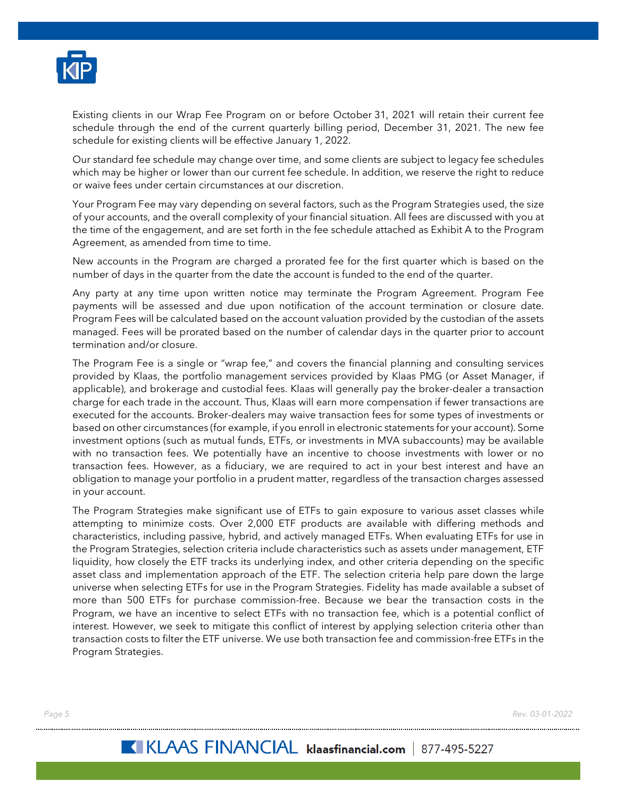

Existing clients in our Wrap Fee Program on or before October 31, 2021 will retain their current fee schedule through the end of the current quarterly billing period, December 31, 2021. The new fee schedule for existing clients will be effective January 1, 2022.

Our standard fee schedule may change over time, and some clients are subject to legacy fee schedules which may be higher or lower than our current fee schedule. In addition, we reserve the right to reduce or waive fees under certain circumstances at our discretion.

Your Program Fee may vary depending on several factors, such as the Program Strategies used, the size of your accounts, and the overall complexity of your financial situation. All fees are discussed with you at the time of the engagement, and are set forth in the fee schedule attached as Exhibit A to the Program Agreement, as amended from time to time.

New accounts in the Program are charged a prorated fee for the first quarter which is based on the number of days in the quarter from the date the account is funded to the end of the quarter.

Any party at any time upon written notice may terminate the Program Agreement. Program Fee payments will be assessed and due upon notification of the account termination or closure date. Program Fees will be calculated based on the account valuation provided by the custodian of the assets managed. Fees will be prorated based on the number of calendar days in the quarter prior to account termination and/or closure.

The Program Fee is a single or "wrap fee," and covers the financial planning and consulting services provided by Klaas, the portfolio management services provided by Klaas PMG (or Asset Manager, if applicable), and brokerage and custodial fees. Klaas will generally pay the broker-dealer a transaction charge for each trade in the account. Thus, Klaas will earn more compensation if fewer transactions are executed for the accounts. Broker-dealers may waive transaction fees for some types of investments or based on other circumstances (for example, if you enroll in electronic statements for your account). Some investment options (such as mutual funds, ETFs, or investments in MVA subaccounts) may be available with no transaction fees. We potentially have an incentive to choose investments with lower or no transaction fees. However, as a fiduciary, we are required to act in your best interest and have an obligation to manage your portfolio in a prudent matter, regardless of the transaction charges assessed in your account.

The Program Strategies make significant use of ETFs to gain exposure to various asset classes while attempting to minimize costs. Over 2,000 ETF products are available with differing methods and characteristics, including passive, hybrid, and actively managed ETFs. When evaluating ETFs for use in the Program Strategies, selection criteria include characteristics such as assets under management, ETF liquidity, how closely the ETF tracks its underlying index, and other criteria depending on the specific asset class and implementation approach of the ETF. The selection criteria help pare down the large universe when selecting ETFs for use in the Program Strategies. Fidelity has made available a subset of more than 500 ETFs for purchase commission-free. Because we bear the transaction costs in the Program, we have an incentive to select ETFs with no transaction fee, which is a potential conflict of interest. However, we seek to mitigate this conflict of interest by applying selection criteria other than transaction costs to filter the ETF universe. We use both transaction fee and commission-free ETFs in the Program Strategies.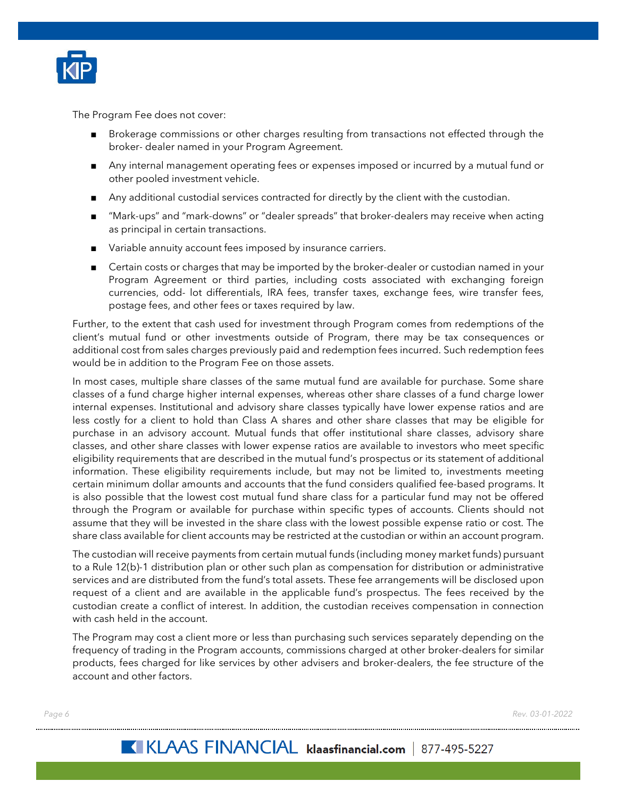

The Program Fee does not cover:

- Brokerage commissions or other charges resulting from transactions not effected through the broker- dealer named in your Program Agreement.
- Any internal management operating fees or expenses imposed or incurred by a mutual fund or other pooled investment vehicle.
- Any additional custodial services contracted for directly by the client with the custodian.
- "Mark-ups" and "mark-downs" or "dealer spreads" that broker-dealers may receive when acting as principal in certain transactions.
- Variable annuity account fees imposed by insurance carriers.
- Certain costs or charges that may be imported by the broker-dealer or custodian named in your Program Agreement or third parties, including costs associated with exchanging foreign currencies, odd- lot differentials, IRA fees, transfer taxes, exchange fees, wire transfer fees, postage fees, and other fees or taxes required by law.

Further, to the extent that cash used for investment through Program comes from redemptions of the client's mutual fund or other investments outside of Program, there may be tax consequences or additional cost from sales charges previously paid and redemption fees incurred. Such redemption fees would be in addition to the Program Fee on those assets.

In most cases, multiple share classes of the same mutual fund are available for purchase. Some share classes of a fund charge higher internal expenses, whereas other share classes of a fund charge lower internal expenses. Institutional and advisory share classes typically have lower expense ratios and are less costly for a client to hold than Class A shares and other share classes that may be eligible for purchase in an advisory account. Mutual funds that offer institutional share classes, advisory share classes, and other share classes with lower expense ratios are available to investors who meet specific eligibility requirements that are described in the mutual fund's prospectus or its statement of additional information. These eligibility requirements include, but may not be limited to, investments meeting certain minimum dollar amounts and accounts that the fund considers qualified fee-based programs. It is also possible that the lowest cost mutual fund share class for a particular fund may not be offered through the Program or available for purchase within specific types of accounts. Clients should not assume that they will be invested in the share class with the lowest possible expense ratio or cost. The share class available for client accounts may be restricted at the custodian or within an account program.

The custodian will receive payments from certain mutual funds (including money market funds) pursuant to a Rule 12(b)-1 distribution plan or other such plan as compensation for distribution or administrative services and are distributed from the fund's total assets. These fee arrangements will be disclosed upon request of a client and are available in the applicable fund's prospectus. The fees received by the custodian create a conflict of interest. In addition, the custodian receives compensation in connection with cash held in the account.

The Program may cost a client more or less than purchasing such services separately depending on the frequency of trading in the Program accounts, commissions charged at other broker-dealers for similar products, fees charged for like services by other advisers and broker-dealers, the fee structure of the account and other factors.

*Page 6 Rev. 03-01-2022*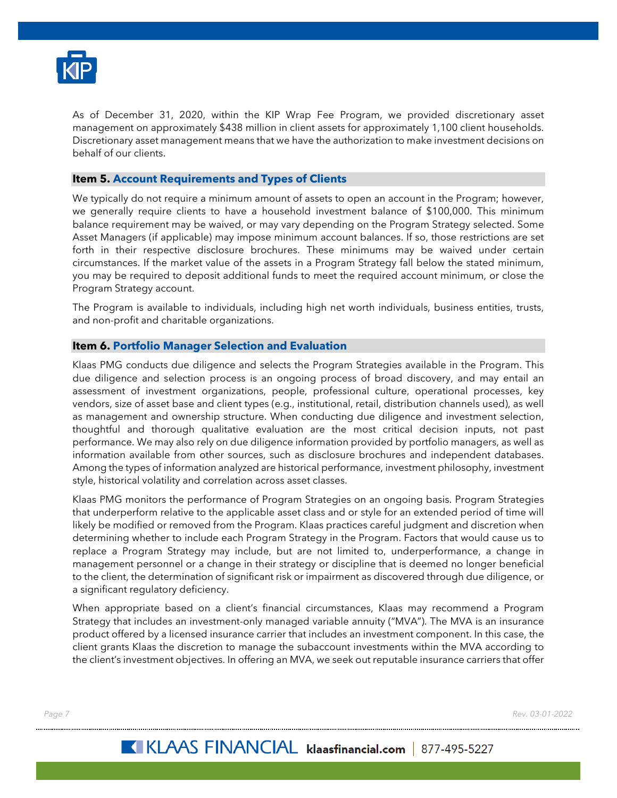

As of December 31, 2020, within the KIP Wrap Fee Program, we provided discretionary asset management on approximately \$438 million in client assets for approximately 1,100 client households. Discretionary asset management means that we have the authorization to make investment decisions on behalf of our clients.

# <span id="page-9-0"></span>**Item 5. Account Requirements and Types of Clients**

We typically do not require a minimum amount of assets to open an account in the Program; however, we generally require clients to have a household investment balance of \$100,000. This minimum balance requirement may be waived, or may vary depending on the Program Strategy selected. Some Asset Managers (if applicable) may impose minimum account balances. If so, those restrictions are set forth in their respective disclosure brochures. These minimums may be waived under certain circumstances. If the market value of the assets in a Program Strategy fall below the stated minimum, you may be required to deposit additional funds to meet the required account minimum, or close the Program Strategy account.

The Program is available to individuals, including high net worth individuals, business entities, trusts, and non-profit and charitable organizations.

#### <span id="page-9-1"></span>**Item 6. Portfolio Manager Selection and Evaluation**

Klaas PMG conducts due diligence and selects the Program Strategies available in the Program. This due diligence and selection process is an ongoing process of broad discovery, and may entail an assessment of investment organizations, people, professional culture, operational processes, key vendors, size of asset base and client types (e.g., institutional, retail, distribution channels used), as well as management and ownership structure. When conducting due diligence and investment selection, thoughtful and thorough qualitative evaluation are the most critical decision inputs, not past performance. We may also rely on due diligence information provided by portfolio managers, as well as information available from other sources, such as disclosure brochures and independent databases. Among the types of information analyzed are historical performance, investment philosophy, investment style, historical volatility and correlation across asset classes.

Klaas PMG monitors the performance of Program Strategies on an ongoing basis. Program Strategies that underperform relative to the applicable asset class and or style for an extended period of time will likely be modified or removed from the Program. Klaas practices careful judgment and discretion when determining whether to include each Program Strategy in the Program. Factors that would cause us to replace a Program Strategy may include, but are not limited to, underperformance, a change in management personnel or a change in their strategy or discipline that is deemed no longer beneficial to the client, the determination of significant risk or impairment as discovered through due diligence, or a significant regulatory deficiency.

When appropriate based on a client's financial circumstances, Klaas may recommend a Program Strategy that includes an investment-only managed variable annuity ("MVA"). The MVA is an insurance product offered by a licensed insurance carrier that includes an investment component. In this case, the client grants Klaas the discretion to manage the subaccount investments within the MVA according to the client's investment objectives. In offering an MVA, we seek out reputable insurance carriers that offer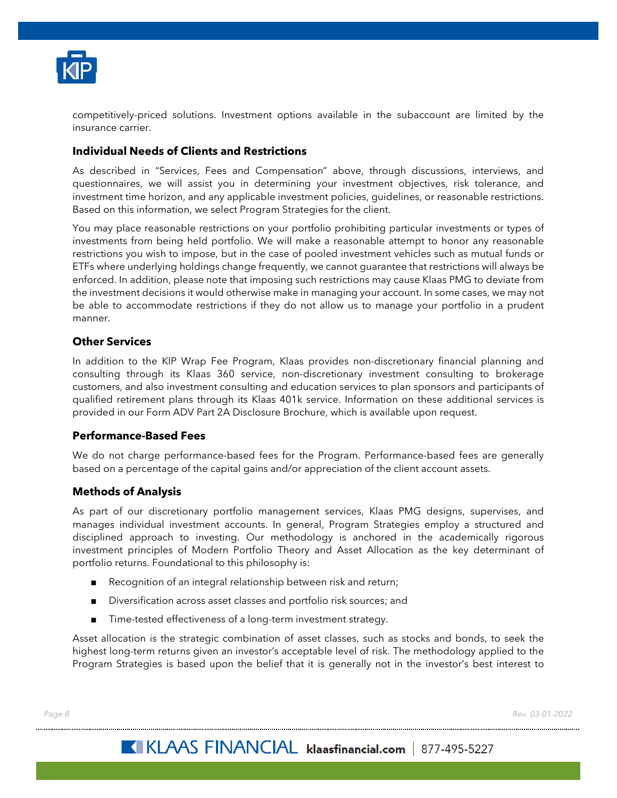

competitively-priced solutions. Investment options available in the subaccount are limited by the insurance carrier.

# <span id="page-10-0"></span>**Individual Needs of Clients and Restrictions**

As described in "Services, Fees and Compensation" above, through discussions, interviews, and questionnaires, we will assist you in determining your investment objectives, risk tolerance, and investment time horizon, and any applicable investment policies, guidelines, or reasonable restrictions. Based on this information, we select Program Strategies for the client.

You may place reasonable restrictions on your portfolio prohibiting particular investments or types of investments from being held portfolio. We will make a reasonable attempt to honor any reasonable restrictions you wish to impose, but in the case of pooled investment vehicles such as mutual funds or ETFs where underlying holdings change frequently, we cannot guarantee that restrictions will always be enforced. In addition, please note that imposing such restrictions may cause Klaas PMG to deviate from the investment decisions it would otherwise make in managing your account. In some cases, we may not be able to accommodate restrictions if they do not allow us to manage your portfolio in a prudent manner.

# <span id="page-10-1"></span>**Other Services**

In addition to the KIP Wrap Fee Program, Klaas provides non-discretionary financial planning and consulting through its Klaas 360 service, non-discretionary investment consulting to brokerage customers, and also investment consulting and education services to plan sponsors and participants of qualified retirement plans through its Klaas 401k service. Information on these additional services is provided in our Form ADV Part 2A Disclosure Brochure, which is available upon request.

## <span id="page-10-2"></span>**Performance-Based Fees**

We do not charge performance-based fees for the Program. Performance-based fees are generally based on a percentage of the capital gains and/or appreciation of the client account assets.

## <span id="page-10-3"></span>**Methods of Analysis**

As part of our discretionary portfolio management services, Klaas PMG designs, supervises, and manages individual investment accounts. In general, Program Strategies employ a structured and disciplined approach to investing. Our methodology is anchored in the academically rigorous investment principles of Modern Portfolio Theory and Asset Allocation as the key determinant of portfolio returns. Foundational to this philosophy is:

- Recognition of an integral relationship between risk and return;
- Diversification across asset classes and portfolio risk sources; and
- Time-tested effectiveness of a long-term investment strategy.

Asset allocation is the strategic combination of asset classes, such as stocks and bonds, to seek the highest long-term returns given an investor's acceptable level of risk. The methodology applied to the Program Strategies is based upon the belief that it is generally not in the investor's best interest to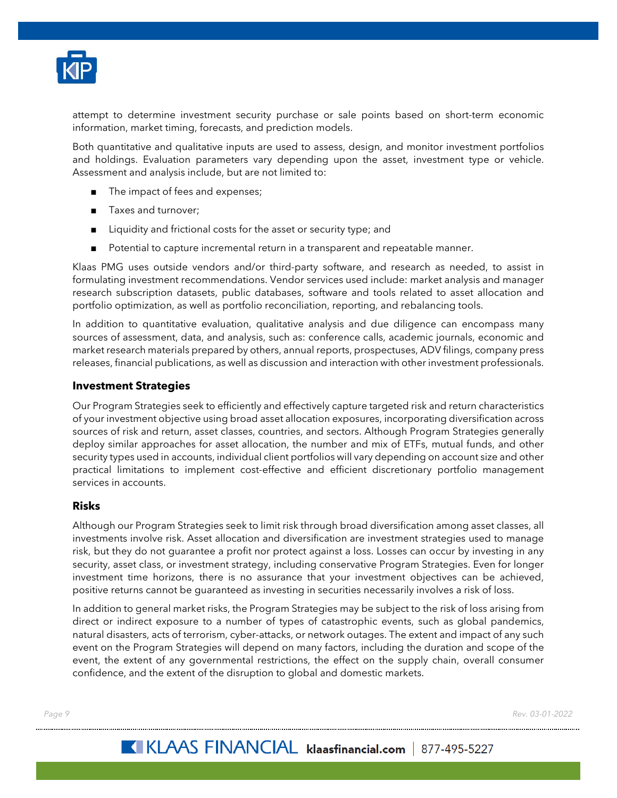

attempt to determine investment security purchase or sale points based on short-term economic information, market timing, forecasts, and prediction models.

Both quantitative and qualitative inputs are used to assess, design, and monitor investment portfolios and holdings. Evaluation parameters vary depending upon the asset, investment type or vehicle. Assessment and analysis include, but are not limited to:

- The impact of fees and expenses;
- Taxes and turnover;
- Liquidity and frictional costs for the asset or security type; and
- Potential to capture incremental return in a transparent and repeatable manner.

Klaas PMG uses outside vendors and/or third-party software, and research as needed, to assist in formulating investment recommendations. Vendor services used include: market analysis and manager research subscription datasets, public databases, software and tools related to asset allocation and portfolio optimization, as well as portfolio reconciliation, reporting, and rebalancing tools.

In addition to quantitative evaluation, qualitative analysis and due diligence can encompass many sources of assessment, data, and analysis, such as: conference calls, academic journals, economic and market research materials prepared by others, annual reports, prospectuses, ADV filings, company press releases, financial publications, as well as discussion and interaction with other investment professionals.

## <span id="page-11-0"></span>**Investment Strategies**

Our Program Strategies seek to efficiently and effectively capture targeted risk and return characteristics of your investment objective using broad asset allocation exposures, incorporating diversification across sources of risk and return, asset classes, countries, and sectors. Although Program Strategies generally deploy similar approaches for asset allocation, the number and mix of ETFs, mutual funds, and other security types used in accounts, individual client portfolios will vary depending on account size and other practical limitations to implement cost-effective and efficient discretionary portfolio management services in accounts.

## <span id="page-11-1"></span>**Risks**

Although our Program Strategies seek to limit risk through broad diversification among asset classes, all investments involve risk. Asset allocation and diversification are investment strategies used to manage risk, but they do not guarantee a profit nor protect against a loss. Losses can occur by investing in any security, asset class, or investment strategy, including conservative Program Strategies. Even for longer investment time horizons, there is no assurance that your investment objectives can be achieved, positive returns cannot be guaranteed as investing in securities necessarily involves a risk of loss.

In addition to general market risks, the Program Strategies may be subject to the risk of loss arising from direct or indirect exposure to a number of types of catastrophic events, such as global pandemics, natural disasters, acts of terrorism, cyber-attacks, or network outages. The extent and impact of any such event on the Program Strategies will depend on many factors, including the duration and scope of the event, the extent of any governmental restrictions, the effect on the supply chain, overall consumer confidence, and the extent of the disruption to global and domestic markets.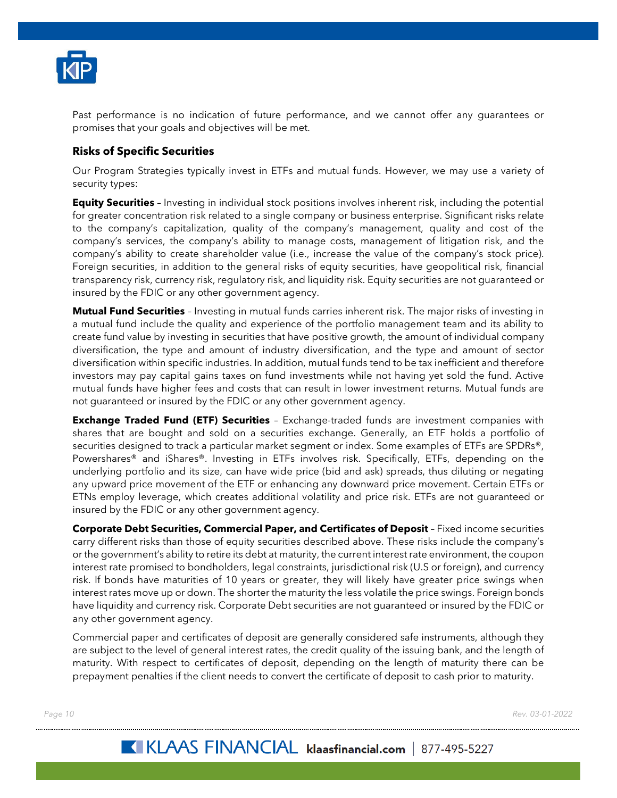

Past performance is no indication of future performance, and we cannot offer any guarantees or promises that your goals and objectives will be met.

# <span id="page-12-0"></span>**Risks of Specific Securities**

Our Program Strategies typically invest in ETFs and mutual funds. However, we may use a variety of security types:

**Equity Securities** – Investing in individual stock positions involves inherent risk, including the potential for greater concentration risk related to a single company or business enterprise. Significant risks relate to the company's capitalization, quality of the company's management, quality and cost of the company's services, the company's ability to manage costs, management of litigation risk, and the company's ability to create shareholder value (i.e., increase the value of the company's stock price). Foreign securities, in addition to the general risks of equity securities, have geopolitical risk, financial transparency risk, currency risk, regulatory risk, and liquidity risk. Equity securities are not guaranteed or insured by the FDIC or any other government agency.

**Mutual Fund Securities** – Investing in mutual funds carries inherent risk. The major risks of investing in a mutual fund include the quality and experience of the portfolio management team and its ability to create fund value by investing in securities that have positive growth, the amount of individual company diversification, the type and amount of industry diversification, and the type and amount of sector diversification within specific industries. In addition, mutual funds tend to be tax inefficient and therefore investors may pay capital gains taxes on fund investments while not having yet sold the fund. Active mutual funds have higher fees and costs that can result in lower investment returns. Mutual funds are not guaranteed or insured by the FDIC or any other government agency.

**Exchange Traded Fund (ETF) Securities** – Exchange-traded funds are investment companies with shares that are bought and sold on a securities exchange. Generally, an ETF holds a portfolio of securities designed to track a particular market segment or index. Some examples of ETFs are SPDRs®, Powershares® and iShares®. Investing in ETFs involves risk. Specifically, ETFs, depending on the underlying portfolio and its size, can have wide price (bid and ask) spreads, thus diluting or negating any upward price movement of the ETF or enhancing any downward price movement. Certain ETFs or ETNs employ leverage, which creates additional volatility and price risk. ETFs are not guaranteed or insured by the FDIC or any other government agency.

**Corporate Debt Securities, Commercial Paper, and Certificates of Deposit** – Fixed income securities carry different risks than those of equity securities described above. These risks include the company's or the government's ability to retire its debt at maturity, the current interest rate environment, the coupon interest rate promised to bondholders, legal constraints, jurisdictional risk (U.S or foreign), and currency risk. If bonds have maturities of 10 years or greater, they will likely have greater price swings when interest rates move up or down. The shorter the maturity the less volatile the price swings. Foreign bonds have liquidity and currency risk. Corporate Debt securities are not guaranteed or insured by the FDIC or any other government agency.

Commercial paper and certificates of deposit are generally considered safe instruments, although they are subject to the level of general interest rates, the credit quality of the issuing bank, and the length of maturity. With respect to certificates of deposit, depending on the length of maturity there can be prepayment penalties if the client needs to convert the certificate of deposit to cash prior to maturity.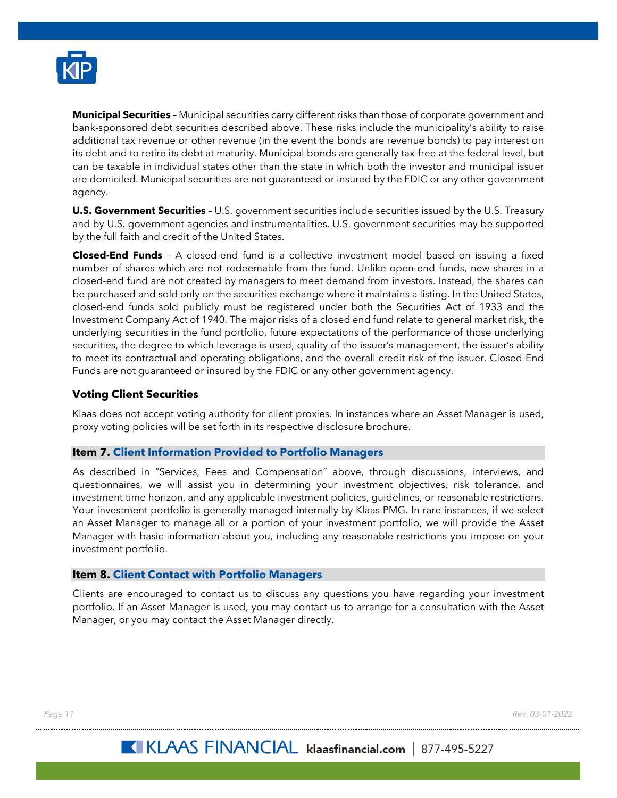

**Municipal Securities** – Municipal securities carry different risks than those of corporate government and bank-sponsored debt securities described above. These risks include the municipality's ability to raise additional tax revenue or other revenue (in the event the bonds are revenue bonds) to pay interest on its debt and to retire its debt at maturity. Municipal bonds are generally tax-free at the federal level, but can be taxable in individual states other than the state in which both the investor and municipal issuer are domiciled. Municipal securities are not guaranteed or insured by the FDIC or any other government agency.

**U.S. Government Securities** - U.S. government securities include securities issued by the U.S. Treasury and by U.S. government agencies and instrumentalities. U.S. government securities may be supported by the full faith and credit of the United States.

**Closed-End Funds** – A closed-end fund is a collective investment model based on issuing a fixed number of shares which are not redeemable from the fund. Unlike open-end funds, new shares in a closed-end fund are not created by managers to meet demand from investors. Instead, the shares can be purchased and sold only on the securities exchange where it maintains a listing. In the United States, closed-end funds sold publicly must be registered under both the Securities Act of 1933 and the Investment Company Act of 1940. The major risks of a closed end fund relate to general market risk, the underlying securities in the fund portfolio, future expectations of the performance of those underlying securities, the degree to which leverage is used, quality of the issuer's management, the issuer's ability to meet its contractual and operating obligations, and the overall credit risk of the issuer. Closed-End Funds are not guaranteed or insured by the FDIC or any other government agency.

# <span id="page-13-0"></span>**Voting Client Securities**

Klaas does not accept voting authority for client proxies. In instances where an Asset Manager is used, proxy voting policies will be set forth in its respective disclosure brochure.

## <span id="page-13-1"></span>**Item 7. Client Information Provided to Portfolio Managers**

As described in "Services, Fees and Compensation" above, through discussions, interviews, and questionnaires, we will assist you in determining your investment objectives, risk tolerance, and investment time horizon, and any applicable investment policies, guidelines, or reasonable restrictions. Your investment portfolio is generally managed internally by Klaas PMG. In rare instances, if we select an Asset Manager to manage all or a portion of your investment portfolio, we will provide the Asset Manager with basic information about you, including any reasonable restrictions you impose on your investment portfolio.

#### <span id="page-13-2"></span>**Item 8. Client Contact with Portfolio Managers**

Clients are encouraged to contact us to discuss any questions you have regarding your investment portfolio. If an Asset Manager is used, you may contact us to arrange for a consultation with the Asset Manager, or you may contact the Asset Manager directly.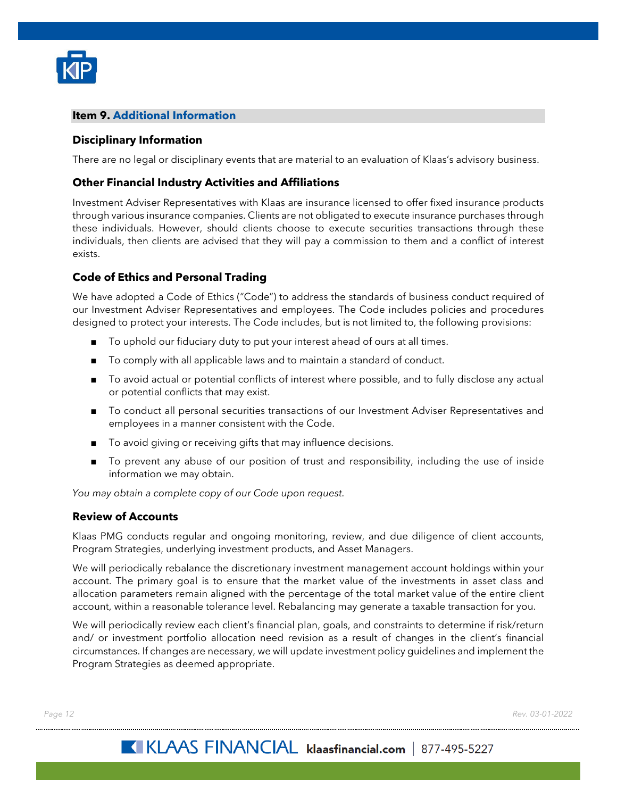

## <span id="page-14-0"></span>**Item 9. Additional Information**

## <span id="page-14-1"></span>**Disciplinary Information**

There are no legal or disciplinary events that are material to an evaluation of Klaas's advisory business.

## <span id="page-14-2"></span>**Other Financial Industry Activities and Affiliations**

Investment Adviser Representatives with Klaas are insurance licensed to offer fixed insurance products through various insurance companies. Clients are not obligated to execute insurance purchases through these individuals. However, should clients choose to execute securities transactions through these individuals, then clients are advised that they will pay a commission to them and a conflict of interest exists.

# <span id="page-14-3"></span>**Code of Ethics and Personal Trading**

We have adopted a Code of Ethics ("Code") to address the standards of business conduct required of our Investment Adviser Representatives and employees. The Code includes policies and procedures designed to protect your interests. The Code includes, but is not limited to, the following provisions:

- To uphold our fiduciary duty to put your interest ahead of ours at all times.
- To comply with all applicable laws and to maintain a standard of conduct.
- To avoid actual or potential conflicts of interest where possible, and to fully disclose any actual or potential conflicts that may exist.
- To conduct all personal securities transactions of our Investment Adviser Representatives and employees in a manner consistent with the Code.
- To avoid giving or receiving gifts that may influence decisions.
- To prevent any abuse of our position of trust and responsibility, including the use of inside information we may obtain.

*You may obtain a complete copy of our Code upon request.*

#### <span id="page-14-4"></span>**Review of Accounts**

Klaas PMG conducts regular and ongoing monitoring, review, and due diligence of client accounts, Program Strategies, underlying investment products, and Asset Managers.

We will periodically rebalance the discretionary investment management account holdings within your account. The primary goal is to ensure that the market value of the investments in asset class and allocation parameters remain aligned with the percentage of the total market value of the entire client account, within a reasonable tolerance level. Rebalancing may generate a taxable transaction for you.

We will periodically review each client's financial plan, goals, and constraints to determine if risk/return and/ or investment portfolio allocation need revision as a result of changes in the client's financial circumstances. If changes are necessary, we will update investment policy guidelines and implement the Program Strategies as deemed appropriate.